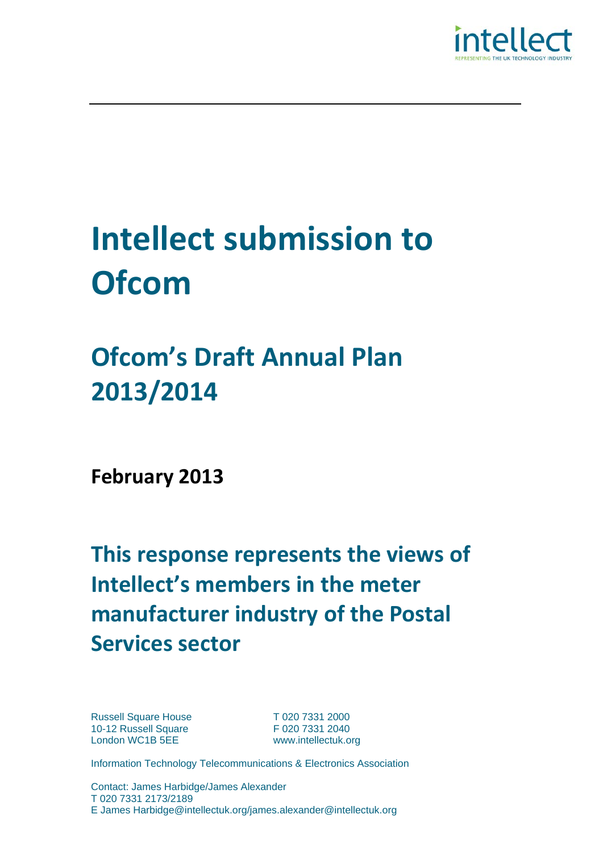

# **Intellect submission to Ofcom**

## **Ofcom's Draft Annual Plan 2013/2014**

**February 2013**

**This response represents the views of Intellect's members in the meter manufacturer industry of the Postal Services sector**

Russell Square House T 020 7331 2000<br>10-12 Russell Square F 020 7331 2040 10-12 Russell Square London WC1B 5EE www.intellectuk.org

Information Technology Telecommunications & Electronics Association

Contact: James Harbidge/James Alexander T 020 7331 2173/2189 E James Harbidge@intellectuk.org/james.alexander@intellectuk.org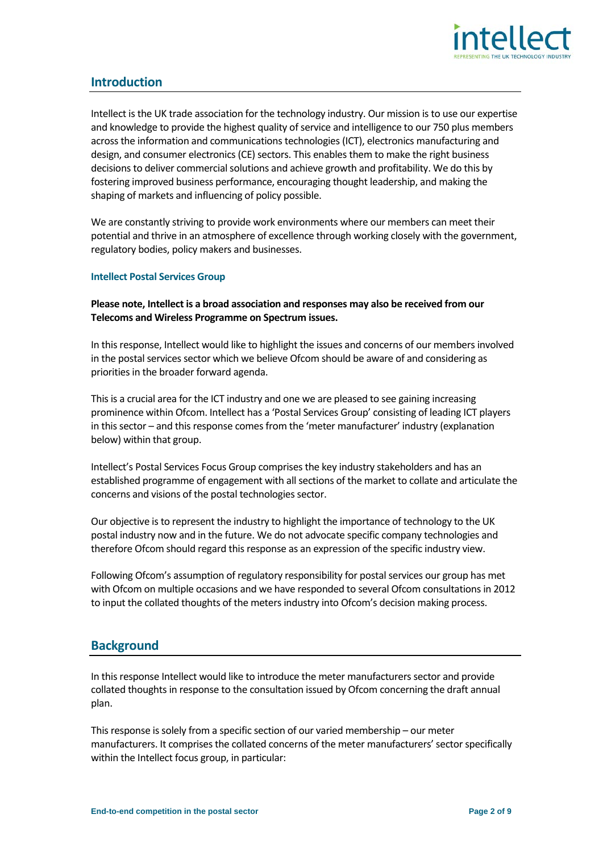

### **Introduction**

Intellect is the UK trade association for the technology industry. Our mission is to use our expertise and knowledge to provide the highest quality of service and intelligence to our 750 plus members across the information and communications technologies (ICT), electronics manufacturing and design, and consumer electronics (CE) sectors. This enables them to make the right business decisions to deliver commercial solutions and achieve growth and profitability. We do this by fostering improved business performance, encouraging thought leadership, and making the shaping of markets and influencing of policy possible.

We are constantly striving to provide work environments where our members can meet their potential and thrive in an atmosphere of excellence through working closely with the government, regulatory bodies, policy makers and businesses.

#### **Intellect Postal Services Group**

**Please note, Intellect is a broad association and responses may also be received from our Telecoms and Wireless Programme on Spectrum issues.**

In this response, Intellect would like to highlight the issues and concerns of our members involved in the postal services sector which we believe Ofcom should be aware of and considering as priorities in the broader forward agenda.

This is a crucial area for the ICT industry and one we are pleased to see gaining increasing prominence within Ofcom. Intellect has a 'Postal Services Group' consisting of leading ICT players in this sector – and this response comes from the 'meter manufacturer' industry (explanation below) within that group.

Intellect's Postal Services Focus Group comprises the key industry stakeholders and has an established programme of engagement with all sections of the market to collate and articulate the concerns and visions of the postal technologies sector.

Our objective is to represent the industry to highlight the importance of technology to the UK postal industry now and in the future. We do not advocate specific company technologies and therefore Ofcom should regard this response as an expression of the specific industry view.

Following Ofcom's assumption of regulatory responsibility for postal services our group has met with Ofcom on multiple occasions and we have responded to several Ofcom consultations in 2012 to input the collated thoughts of the meters industry into Ofcom's decision making process.

#### **Background**

In this response Intellect would like to introduce the meter manufacturers sector and provide collated thoughts in response to the consultation issued by Ofcom concerning the draft annual plan.

This response is solely from a specific section of our varied membership – our meter manufacturers. It comprises the collated concerns of the meter manufacturers' sector specifically within the Intellect focus group, in particular: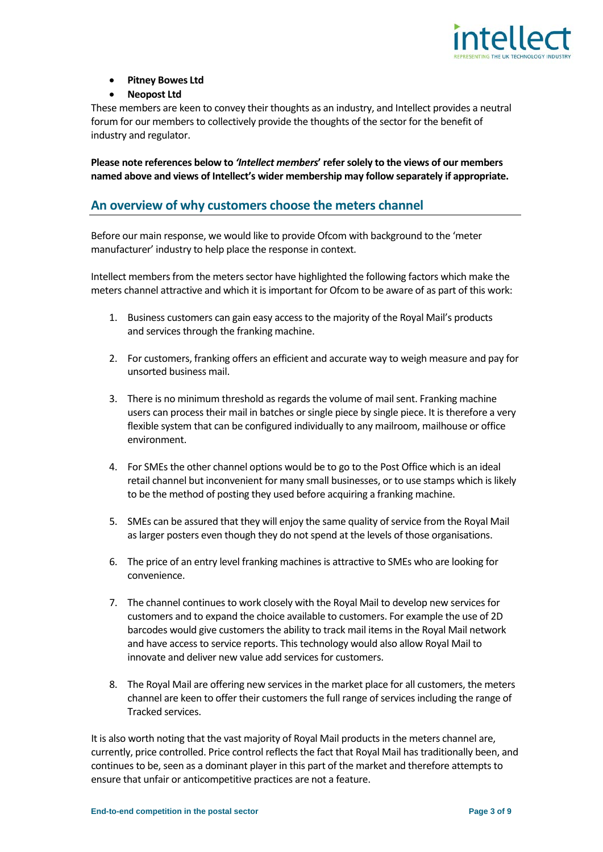

#### • **Pitney Bowes Ltd**

#### • **Neopost Ltd**

These members are keen to convey their thoughts as an industry, and Intellect provides a neutral forum for our members to collectively provide the thoughts of the sector for the benefit of industry and regulator.

**Please note references below to** *'Intellect members***' refer solely to the views of our members named above and views of Intellect's wider membership may follow separately if appropriate.**

#### **An overview of why customers choose the meters channel**

Before our main response, we would like to provide Ofcom with background to the 'meter manufacturer' industry to help place the response in context.

Intellect members from the meters sector have highlighted the following factors which make the meters channel attractive and which it is important for Ofcom to be aware of as part of this work:

- 1. Business customers can gain easy access to the majority of the Royal Mail's products and services through the franking machine.
- 2. For customers, franking offers an efficient and accurate way to weigh measure and pay for unsorted business mail.
- 3. There is no minimum threshold as regards the volume of mail sent. Franking machine users can process their mail in batches or single piece by single piece. It is therefore a very flexible system that can be configured individually to any mailroom, mailhouse or office environment.
- 4. For SMEs the other channel options would be to go to the Post Office which is an ideal retail channel but inconvenient for many small businesses, or to use stamps which is likely to be the method of posting they used before acquiring a franking machine.
- 5. SMEs can be assured that they will enjoy the same quality of service from the Royal Mail as larger posters even though they do not spend at the levels of those organisations.
- 6. The price of an entry level franking machines is attractive to SMEs who are looking for convenience.
- 7. The channel continues to work closely with the Royal Mail to develop new services for customers and to expand the choice available to customers. For example the use of 2D barcodes would give customers the ability to track mail items in the Royal Mail network and have access to service reports. This technology would also allow Royal Mail to innovate and deliver new value add services for customers.
- 8. The Royal Mail are offering new services in the market place for all customers, the meters channel are keen to offer their customers the full range of services including the range of Tracked services.

It is also worth noting that the vast majority of Royal Mail products in the meters channel are, currently, price controlled. Price control reflects the fact that Royal Mail has traditionally been, and continues to be, seen as a dominant player in this part of the market and therefore attempts to ensure that unfair or anticompetitive practices are not a feature.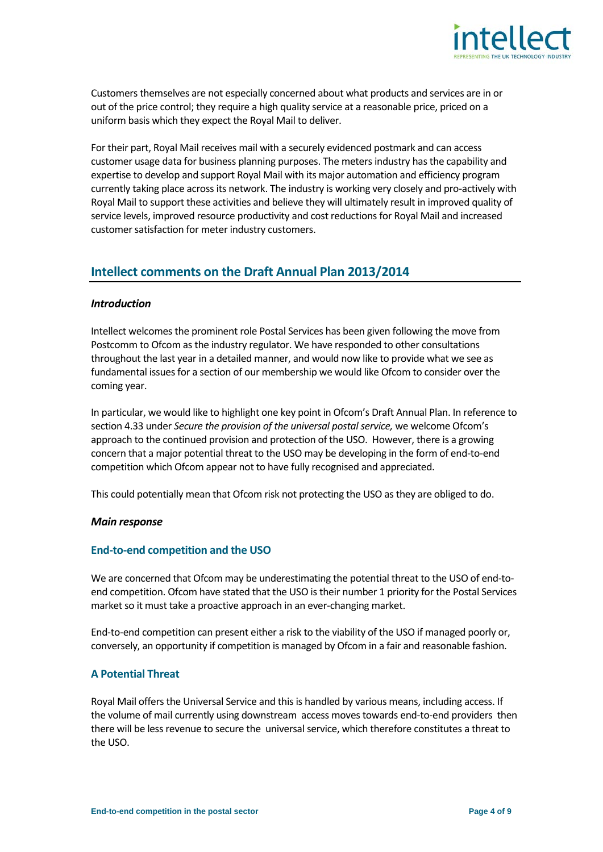

Customers themselves are not especially concerned about what products and services are in or out of the price control; they require a high quality service at a reasonable price, priced on a uniform basis which they expect the Royal Mail to deliver.

For their part, Royal Mail receives mail with a securely evidenced postmark and can access customer usage data for business planning purposes. The meters industry has the capability and expertise to develop and support Royal Mail with its major automation and efficiency program currently taking place across its network. The industry is working very closely and pro-actively with Royal Mail to support these activities and believe they will ultimately result in improved quality of service levels, improved resource productivity and cost reductions for Royal Mail and increased customer satisfaction for meter industry customers.

### **Intellect comments on the Draft Annual Plan 2013/2014**

#### *Introduction*

Intellect welcomes the prominent role Postal Services has been given following the move from Postcomm to Ofcom as the industry regulator. We have responded to other consultations throughout the last year in a detailed manner, and would now like to provide what we see as fundamental issues for a section of our membership we would like Ofcom to consider over the coming year.

In particular, we would like to highlight one key point in Ofcom's Draft Annual Plan. In reference to section 4.33 under *Secure the provision of the universal postal service,* we welcome Ofcom's approach to the continued provision and protection of the USO. However, there is a growing concern that a major potential threat to the USO may be developing in the form of end-to-end competition which Ofcom appear not to have fully recognised and appreciated.

This could potentially mean that Ofcom risk not protecting the USO as they are obliged to do.

#### *Main response*

#### **End-to-end competition and the USO**

We are concerned that Ofcom may be underestimating the potential threat to the USO of end-toend competition. Ofcom have stated that the USO is their number 1 priority for the Postal Services market so it must take a proactive approach in an ever-changing market.

End-to-end competition can present either a risk to the viability of the USO if managed poorly or, conversely, an opportunity if competition is managed by Ofcom in a fair and reasonable fashion.

#### **A Potential Threat**

Royal Mail offers the Universal Service and this is handled by various means, including access. If the volume of mail currently using downstream access moves towards end-to-end providers then there will be lessrevenue to secure the universal service, which therefore constitutes a threat to the USO.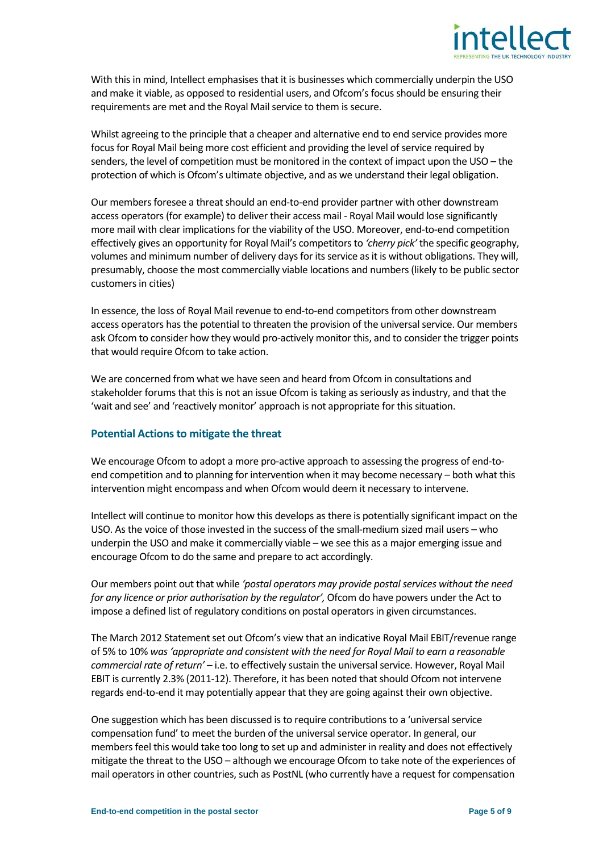

With this in mind, Intellect emphasises that it is businesses which commercially underpin the USO and make it viable, as opposed to residential users, and Ofcom's focus should be ensuring their requirements are met and the Royal Mail service to them is secure.

Whilst agreeing to the principle that a cheaper and alternative end to end service provides more focus for Royal Mail being more cost efficient and providing the level of service required by senders, the level of competition must be monitored in the context of impact upon the USO – the protection of which is Ofcom's ultimate objective, and as we understand their legal obligation.

Our members foresee a threat should an end-to-end provider partner with other downstream access operators (for example) to deliver their access mail - Royal Mail would lose significantly more mail with clear implications for the viability of the USO. Moreover, end-to-end competition effectively gives an opportunity for Royal Mail's competitors to *'cherry pick'* the specific geography, volumes and minimum number of delivery days for its service as it is without obligations. They will, presumably, choose the most commercially viable locations and numbers (likely to be public sector customers in cities)

In essence, the loss of Royal Mail revenue to end-to-end competitors from other downstream access operators has the potential to threaten the provision of the universal service. Our members ask Ofcom to consider how they would pro-actively monitor this, and to consider the trigger points that would require Ofcom to take action.

We are concerned from what we have seen and heard from Ofcom in consultations and stakeholder forums that this is not an issue Ofcom is taking as seriously as industry, and that the 'wait and see' and 'reactively monitor' approach is not appropriate for this situation.

#### **Potential Actions to mitigate the threat**

We encourage Ofcom to adopt a more pro-active approach to assessing the progress of end-toend competition and to planning for intervention when it may become necessary – both what this intervention might encompass and when Ofcom would deem it necessary to intervene.

Intellect will continue to monitor how this develops as there is potentially significant impact on the USO. As the voice of those invested in the success of the small-medium sized mail users – who underpin the USO and make it commercially viable – we see this as a major emerging issue and encourage Ofcom to do the same and prepare to act accordingly.

Our members point out that while *'postal operators may provide postal services without the need for any licence or prior authorisation by the regulator',* Ofcom do have powers under the Act to impose a defined list of regulatory conditions on postal operators in given circumstances.

The March 2012 Statement set out Ofcom's view that an indicative Royal Mail EBIT/revenue range of 5% to 10% *was 'appropriate and consistent with the need for Royal Mail to earn a reasonable commercial rate of return'* – i.e. to effectively sustain the universal service. However, Royal Mail EBIT is currently 2.3% (2011-12). Therefore, it has been noted that should Ofcom not intervene regards end-to-end it may potentially appear that they are going against their own objective.

One suggestion which has been discussed is to require contributions to a 'universal service compensation fund' to meet the burden of the universal service operator. In general, our members feel this would take too long to set up and administer in reality and does not effectively mitigate the threat to the USO – although we encourage Ofcom to take note of the experiences of mail operators in other countries, such as PostNL (who currently have a request for compensation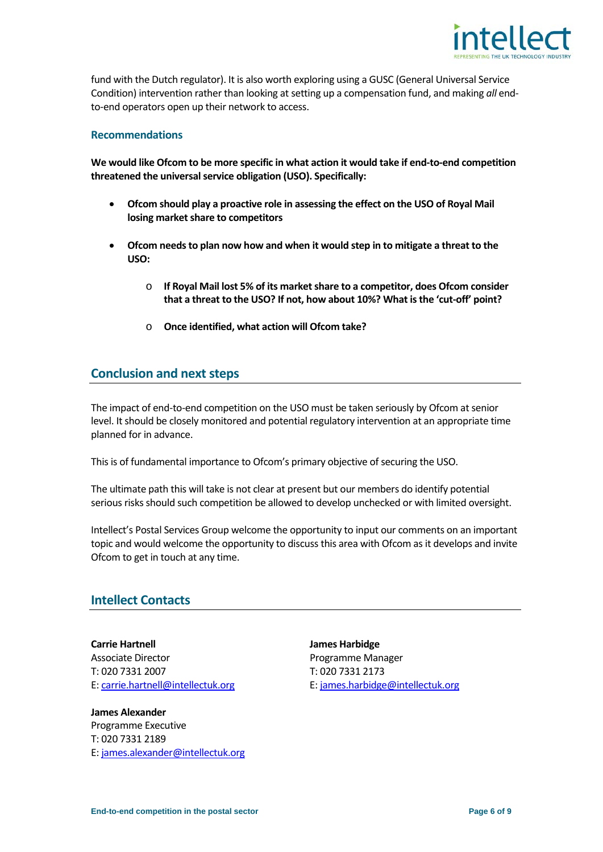

fund with the Dutch regulator). It is also worth exploring using a GUSC (General Universal Service Condition) intervention rather than looking at setting up a compensation fund, and making *all* endto-end operators open up their network to access.

#### **Recommendations**

**We would like Ofcom to be more specific in what action it would take if end-to-end competition threatened the universal service obligation (USO). Specifically:**

- **Ofcom should play a proactive role in assessing the effect on the USO of Royal Mail losing market share to competitors**
- **Ofcom needs to plan now how and when it would step in to mitigate a threat to the USO:**
	- o **If Royal Mail lost 5% of its market share to a competitor, does Ofcom consider that a threat to the USO? If not, how about 10%? What is the 'cut-off' point?**
	- o **Once identified, what action will Ofcom take?**

#### **Conclusion and next steps**

The impact of end-to-end competition on the USO must be taken seriously by Ofcom at senior level. It should be closely monitored and potential regulatory intervention at an appropriate time planned for in advance.

This is of fundamental importance to Ofcom's primary objective of securing the USO.

The ultimate path this will take is not clear at present but our members do identify potential serious risks should such competition be allowed to develop unchecked or with limited oversight.

Intellect's Postal Services Group welcome the opportunity to input our comments on an important topic and would welcome the opportunity to discuss this area with Ofcom as it develops and invite Ofcom to get in touch at any time.

#### **Intellect Contacts**

Associate Director **Programme Manager** Programme Manager T: 020 7331 2007 T: 020 7331 2173

**James Alexander** Programme Executive T: 020 7331 2189 E: [james.alexander@intellectuk.org](mailto:james.alexander@intellectuk.org)

**Carrie Hartnell Carrie Hartnell James Harbidge** E[: carrie.hartnell@intellectuk.org](mailto:carrie.hartnell@intellectuk.org) E: [james.harbidge@intellectuk.org](mailto:james.harbidge@intellectuk.org)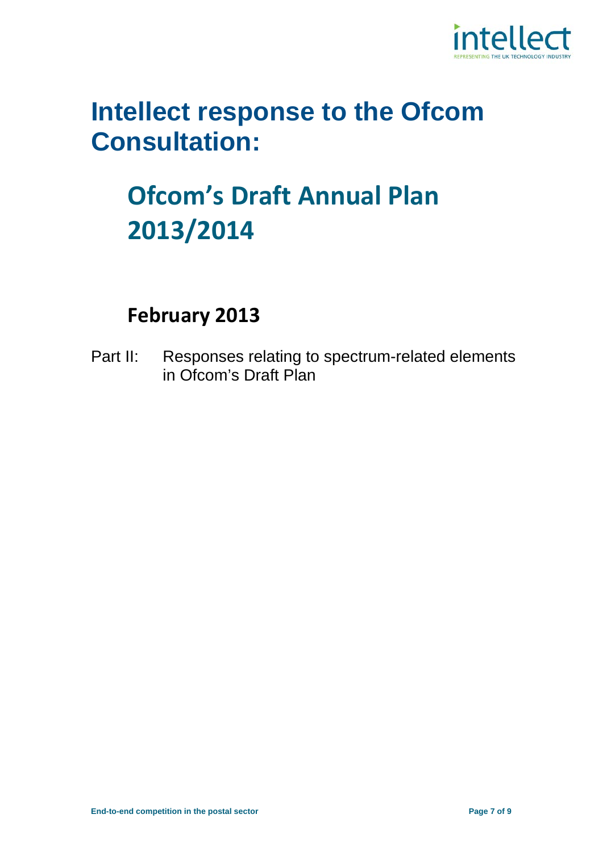

### **Intellect response to the Ofcom Consultation:**

### **Ofcom's Draft Annual Plan 2013/2014**

### **February 2013**

Part II: Responses relating to spectrum-related elements in Ofcom's Draft Plan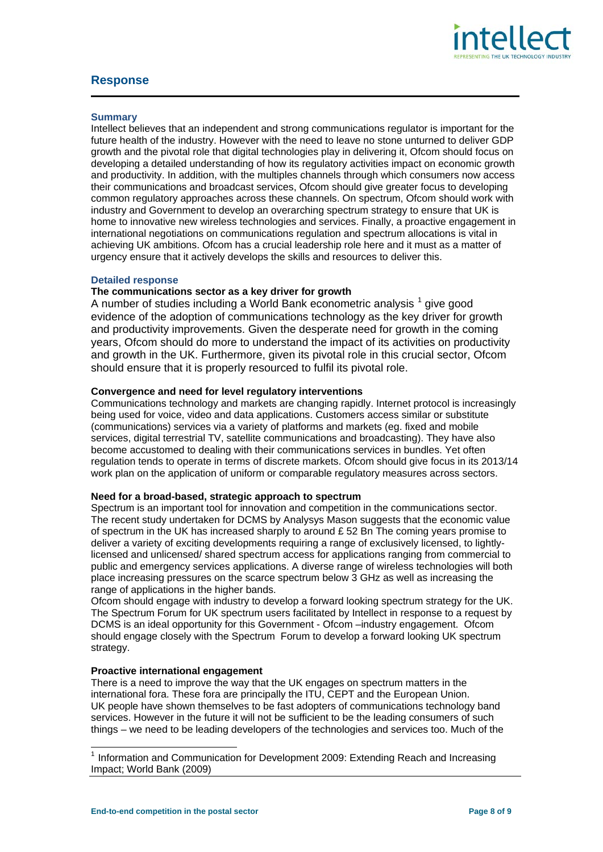

#### **Response**

#### **Summary**

Intellect believes that an independent and strong communications regulator is important for the future health of the industry. However with the need to leave no stone unturned to deliver GDP growth and the pivotal role that digital technologies play in delivering it, Ofcom should focus on developing a detailed understanding of how its regulatory activities impact on economic growth and productivity. In addition, with the multiples channels through which consumers now access their communications and broadcast services, Ofcom should give greater focus to developing common regulatory approaches across these channels. On spectrum, Ofcom should work with industry and Government to develop an overarching spectrum strategy to ensure that UK is home to innovative new wireless technologies and services. Finally, a proactive engagement in international negotiations on communications regulation and spectrum allocations is vital in achieving UK ambitions. Ofcom has a crucial leadership role here and it must as a matter of urgency ensure that it actively develops the skills and resources to deliver this.

#### **Detailed response**

#### **The communications sector as a key driver for growth**

A number of studies including a World Bank econometric analysis <sup>[1](#page-7-0)</sup> give good evidence of the adoption of communications technology as the key driver for growth and productivity improvements. Given the desperate need for growth in the coming years, Ofcom should do more to understand the impact of its activities on productivity and growth in the UK. Furthermore, given its pivotal role in this crucial sector, Ofcom should ensure that it is properly resourced to fulfil its pivotal role.

#### **Convergence and need for level regulatory interventions**

Communications technology and markets are changing rapidly. Internet protocol is increasingly being used for voice, video and data applications. Customers access similar or substitute (communications) services via a variety of platforms and markets (eg. fixed and mobile services, digital terrestrial TV, satellite communications and broadcasting). They have also become accustomed to dealing with their communications services in bundles. Yet often regulation tends to operate in terms of discrete markets. Ofcom should give focus in its 2013/14 work plan on the application of uniform or comparable regulatory measures across sectors.

#### **Need for a broad-based, strategic approach to spectrum**

Spectrum is an important tool for innovation and competition in the communications sector. The recent study undertaken for DCMS by Analysys Mason suggests that the economic value of spectrum in the UK has increased sharply to around  $E$  52 Bn The coming years promise to deliver a variety of exciting developments requiring a range of exclusively licensed, to lightlylicensed and unlicensed/ shared spectrum access for applications ranging from commercial to public and emergency services applications. A diverse range of wireless technologies will both place increasing pressures on the scarce spectrum below 3 GHz as well as increasing the range of applications in the higher bands.

Ofcom should engage with industry to develop a forward looking spectrum strategy for the UK. The Spectrum Forum for UK spectrum users facilitated by Intellect in response to a request by DCMS is an ideal opportunity for this Government - Ofcom –industry engagement. Ofcom should engage closely with the Spectrum Forum to develop a forward looking UK spectrum strategy.

#### **Proactive international engagement**

There is a need to improve the way that the UK engages on spectrum matters in the international fora. These fora are principally the ITU, CEPT and the European Union. UK people have shown themselves to be fast adopters of communications technology band services. However in the future it will not be sufficient to be the leading consumers of such things – we need to be leading developers of the technologies and services too. Much of the

<span id="page-7-0"></span> $1$  Information and Communication for Development 2009: Extending Reach and Increasing Impact; World Bank (2009)